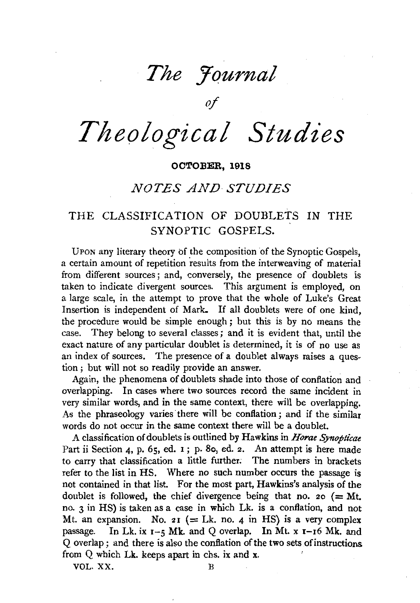# The *<u>Fournal</u>*

*of* 

# *Theological Studies*

## **OCTOBER, 1918**

# *NOTES AND STUDIES*

# THE CLASSIFICATION OF DOUBLETS IN THE SYNOPTIC GOSPELS.

UPON any literary theory of the composition of the Synoptic Gospels, a certain amount of repetition results from the interweaving of material from different sources; and, conversely, the presence of doublets is taken to indicate divergent sources. This argument is employed, on a large scale, in the attempt to prove that the whole of Luke's Great Insertion is independent of Mark. If all doublets were of one kind, the procedure would be simple enough ; but this is by no means the case. They belong to several classes ; and it is evident that, until the exact nature of any particular doublet is determined, it is of no use as an index of sources. The presence of a doublet always raises a question ; but will not so readily provide an answer.

Again, the phenomena of doublets shade into those of conflation and overlapping. In cases where two sources record the same incident in very similar words, and in the same context, there will be overlapping. As the phraseology varies there will be conflation; and if the similar words do not occur in the same context there will be a doublet.

A classification of doublets is outlined by Hawkins in *Horae Synopticae*  Part ii Section 4, p. 65, ed. 1; p. 8o, ed. 2. An attempt is here made to carry that classification a little further; The numbers in brackets refer to the list in HS. Where no such number occurs the passage is not contained in that list. For the most part, Hawkins's analysis of the doublet is followed, the chief divergence being that no. 20  $(= Mt.$ no. 3 in HS) is taken as a case in which Lk. is a conflation, and not Mt. an expansion. No.  $2I$  (= Lk. no. 4 in HS) is a very complex passage. In Lk. ix  $1-5$  Mk. and Q overlap. In Mt. x  $1-16$  Mk. and Q overlap; and there is also the conflation of the two sets of instructions from Q which Lk. keeps apart in chs. ix and x.

VOL. XX. B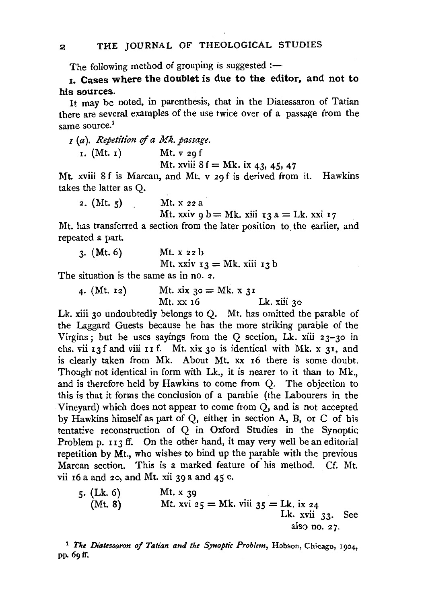The following method of grouping is suggested  $:$ 

I. Cases where the doublet is due to the editor, and not to his sources.

It may be noted, in parenthesis, that in the Diatessaron of Tatian there are several examples of the use twice over of a passage from the same source.<sup>1</sup>

<sup>I</sup>*(a). Repetition of a Mk. passage.* 

| I. (Mt. I) |  |  | Mt. $v_{29}$ f |
|------------|--|--|----------------|
|------------|--|--|----------------|

Mt. xviii  $8 f = Mk$ , ix 43, 45, 47

Mt. xviii Sf is Marean, and Mt. v 29 f is derived from it. Hawkins takes the latter as Q.

2.  $(Mt, 5)$  Mt. x 22 a

Mt. xxiv 9 b = Mk. xiii  $13 a = Lk$ . xxi  $17$ 

Mt. has transferred a section from the later position to the earlier, and repeated a part.

| $3.$ (Mt. 6) | Mt. $x_2$ b                        |
|--------------|------------------------------------|
|              | Mt. xxiv $r_3 = Mk$ . xiii $r_3 b$ |

The situation is the same as in no. 2.

4. (Mt. 12) Mt.  $\sin 30 = Mk$ .  $x \sin 31$ Lk. xiii 30

Lk. xiii 30 undoubtedly belongs to O. Mt. has omitted the parable of the Laggard Guests because he has the more striking parable of the Virgins; but he uses sayings from the Q section, Lk. xiii  $23-30$  in chs. vii  $\mathbf{I}$  3 f and viii  $\mathbf{I}$   $\mathbf{I}$  f. Mt. xix 30 is identical with Mk. x 31, and is clearly taken from Mk. About Mt. xx I6 there is some doubt. Though not identical in form with Lk., it is nearer to it than to Mk., and is therefore held by Hawkins to come from Q. The objection to this is that it forms the conclusion of a parable (the Labourers in the Vineyard) which does not appear to come from Q, and is not accepted by Hawkins himself as part of Q, either in section A, B, or C of his tentative reconstruction of Q in Oxford Studies in the Synoptic Problem p. 113 ff. On the other hand, it may very well be an editorial repetition by Mt., who wishes to bind up the parable with the previous Marean section. This is a marked feature of his method. Cf. Mt. vii  $16$  a and  $20$ , and Mt. xii  $39$  a and  $45$  c.

5. (Lk. 6)   
 (Mt. 8)   
 Mt. xvi 
$$
25 =
$$
 Mk. viii  $35 =$  Lk. ix  $24$   
 Lk. xvii  $33$ . See also no.  $27$ .

<sup>1</sup> The Diatessaron of Tatian and the Synoptic Problem, Hobson, Chicago, 1904. pp. 69ff.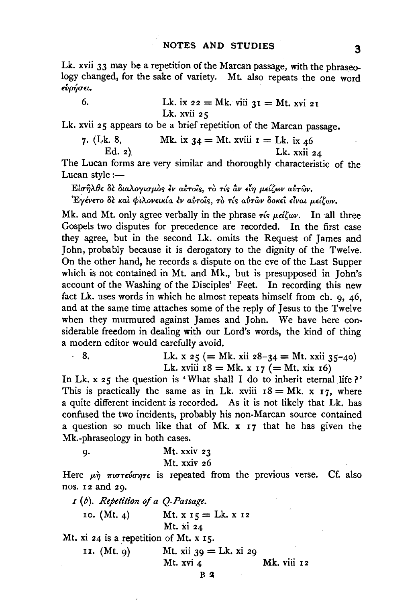Lk. xvii 33 may be a repetition of the Marcan passage, with the phraseology changed, for the sake of variety. Mt. also repeats the one word  $\epsilon$ ύρήσει.

6. Lk. ix 
$$
22 = Mk
$$
. viii  $3I = Mt$ . xvi  $2I$   
Lk. xvii  $25$ 

Lk. xvii 25 appears to be a brief repetition of the Marcan passage.

7. (Lk. 8, Mk. ix 
$$
34 = Mt
$$
. xviii  $\mathbf{r} = Lk$ . ix  $46$   
Ed. 2) Lk. xxii  $24$ 

The Lucan forms are very similar and thoroughly characteristic of the Lucan style : $-$ 

*Eiσηλθε δε διαλογισμος εν αυτοίς, το τίς αν είη μείζων αυτών.* 

*'Eylv£TO 8£* Ka~ *rfitA.ov£tK{a (v allTotr,;,* TO *T{r,; allTwv* SoK£t *£Tvat p.dtwv.* 

Mk. and Mt. only agree verbally in the phrase  $\tau$ *is*  $\mu \in \mathcal{L}(\mathcal{L}_{W})$ . In all three Gospels two disputes for precedence are recotded. In the first case they agree, but in the second Lk. omits the Request of James and John, probably because it is derogatory to the dignity of the Twelve. On the other hand, he records a dispute on the eve of the Last Supper which is not contained in Mt. and Mk., but is presupposed in John's account of the Washing of the Disciples' Feet. In recording this new fact Lk. uses words in which he almost repeats himself from ch. 9, 46, and at the same time attaches some of the reply of Jesus to the Twelve when they murmured against James and John. We have here considerable freedom in dealing with our Lord's words, the kind of thing a modern editor would carefully avoid.

8. Lk. 
$$
x \, 25 (= Mk. xii 28-34 = Mt. xxii 35-40)
$$
  
Lk. xviii  $18 = Mk. x \, 17 (= Mt. xix 16)$ 

In Lk. x 25 the question is 'What shall I do to inherit eternal life?' This is practically the same as in Lk. xviii  $18 = Mk$ . x  $17$ , where a quite different incident is recorded. As it is not likely that Lk. has confused the two incidents, probably his non-Marcan source contained a question so much like that of Mk.  $x \mid 7$  that he has given the Mk.-phraseology in both cases.

9. 
$$
Mt. xxiv 23
$$

$$
Mt. xxiv 26
$$

Here  $\mu \dot{\eta}$   $\pi \omega \tau \epsilon \omega \sigma \eta \tau \epsilon$  is repeated from the previous verse. Cf. also nos. 12 and 29.

I (b). *Repetition of a O-Passage*. 10.  $(Mt. 4)$  Mt.  $x 15 = Lk. x 12$ Mt. xi 24 Mt.  $xi$  24 is a repetition of Mt.  $x$  15. 11. (Mt. 9) Mt. xii 39 = Lk. xi 29 Mt. xvi 4 Mk. viii 12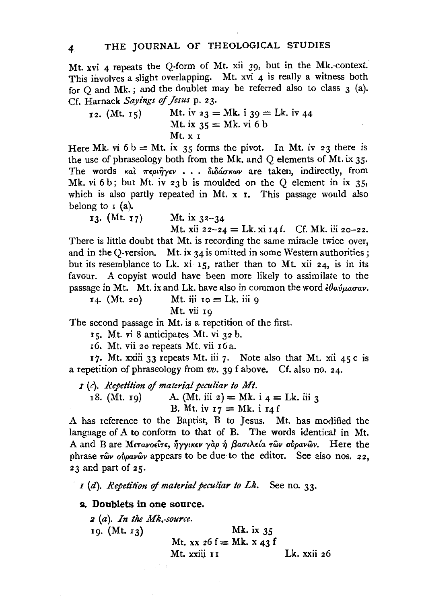Mt. xvi 4 repeats the Q-form of Mt. xii 39, but in the Mk.-context. This involves a slight overlapping. Mt. xvi 4 is really a witness both for Q and Mk.; and the doublet may be referred also to class 3 (a). Cf. Harnack Sayings of Jesus p. 23.

12. (Mt. 15) Mt. iv  $23 = Mk$ . i  $39 = Lk$ . iv  $44$ Mt. ix  $35 = Mk$ . vi 6 b Mt. X I

Here Mk. vi  $6 b = Mt$ . ix 35 forms the pivot. In Mt. iv 23 there is the use of phraseology both from the Mk. and Q elements of Mt. ix 35· The words και περιήγεν . . . διδάσκων are taken, indirectly, from Mk. vi  $6 b$ ; but Mt. iv  $23 b$  is moulded on the Q element in ix  $35$ , which is also partly repeated in Mt. x **r.** This passage would also belong to  $I$  (a).

13. (Mt. 17) Mt. ix  $32-34$ 

Mt. xii 22-24 = Lk. xi 14 f. Cf. Mk. iii 20-22. There is little doubt that Mt. is recording the same miracle twice over, and in the Q-version. Mt. ix  $34$  is omitted in some Western authorities; but its resemblance to Lk. xi  $15$ , rather than to Mt. xii 24, is in its favour. A copyist would have been more likely to assimilate to the passage in Mt. Mt. ix and Lk. have also in common the word  $\frac{\partial a}{\partial \mu}a\sigma a\nu$ .

14. (Mt. 20) Mt. iii 10 = Lk. iii 9

Mt. vii 19

The second passage in Mt. is a repetition of the first.

1s. Mt. vi 8 anticipates Mt. vi 32 b.

16. Mt. vii 20 repeats Mt. vii 16 a.

17. Mt. xxiii 33 repeats Mt. iii 7. Note also that Mt. xii 45 c is a repetition of phraseology from *vv.* 39 f above. Cf. also no. 24.

 $I(r)$ . *Repetition of material peculiar to Mt.* 

18. (Mt. 19) A. (Mt. iii 2) = Mk. i 4 = Lk. iii 3 B. Mt. iv  $I7 = Mk$ . i  $I4f$ 

A has reference to the Baptist, B to Jesus. Mt. has modified the language of A to conform to that of B. The words identical in Mt. A and B are Μετανοείτε, ήγγικεν γαρ ή βασιλεία των ούρανων. Here the phrase  $\tau \omega \nu \omega \omega \omega \omega \nu \omega \nu$  appears to be due to the editor. See also nos. 22, 23 and part of 25.

 $I(d)$ . *Repetition of material peculiar to Lk*. See no. 33.

S~. **Doublets in one source.** 

<sup>2</sup>(a). *In the Mk,-source.*  19. (Mt. 13) Mk. ix 35 Mt. xx  $26 f = Mk$ . x  $43 f$ Mt. xxiii II Lk. xxii 26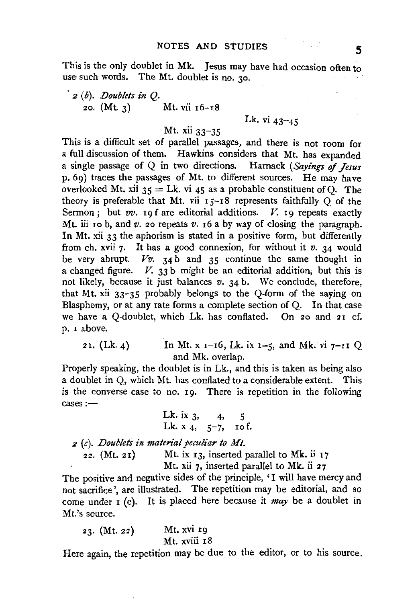This is the only doublet in Mk. Jesus may have had occasion often to use such words. The Mt. doublet is no. 30.

• *2* (b). *Doublets in* Q. 20.  $(Mt. 3)$  Mt. vii  $16-18$ 

### Lk. vi  $43 - 45$

# Mt. xii 33-35

This is a difficult set of parallel passages, and there is not room for a full discussion of them. Hawkins considers that Mt. has expanded a single passage of Q in two directions. Harnack *(Sayings* of *Jesus*  p. 69) traces the passages of Mt. to different sources. He may have overlooked Mt. xii  $35 = Lk$ . vi 45 as a probable constituent of Q. The theory is preferable that Mt. vii  $15-18$  represents faithfully O of the Sermon; but *vv.* 19 f are editorial additions. *V.* 19 repeats exactly Mt. iii 10 b, and *v.* 20 repeats *v.* 16 a by way of closing the paragraph. In Mt. xii 33 the aphorism is stated in a positive form, but differently from ch. xvii 7· It has a good connexion, for without it *v.* 34 would be very abrupt.  $Vv$ . 34 b and 35 continue the same thought in a changed figure. *V.* 33 b might be an editorial addition, but this is not likely, because it just balances *v.* 34 b. We conclude, therefore, that Mt. xii 33-35 probably belongs to the Q-form of the saying on Blasphemy, or at any rate forms a complete section of Q. In that case we have a Q-doublet, which Lk. has conflated. On 20 and 21 cf. p. I above.

21. (Lk. 4) In Mt. x  $_{1}$  -16, Lk. ix  $_{1}$  -5, and Mk. vi  $_{7}$ -11 Q and Mk. overlap.

Properly speaking, the doublet is in Lk., and this is taken as being also a doublet in Q, which Mt. has conflated to a considerable extent. This is the converse case to no. 10. There is repetition in the following cases:-

> Lk. ix  $3, 4, 5$ Lk.  $x_4$ ,  $5-7$ ,  $10$  f.

*2* (c). *Doublets in material peculiar to Mt.* 

 $22.$  (Mt. 21) Mt. ix 13, inserted parallel to Mk. ii 17

Mt. xii 7, inserted parallel to Mk. ii 27

The positive and negative sides of the principle, 'I will have mercy and not sacrifice', are illustrated. The repetition may be editorial, and so come under I (c). It is placed here because it *may* be a doublet in Mt.'s source.

| 23. (Mt. 22) |  | Mt. xvi 19   |
|--------------|--|--------------|
|              |  | Mt. xviii 18 |

Here again, the repetition may be due to the editor, or to his source.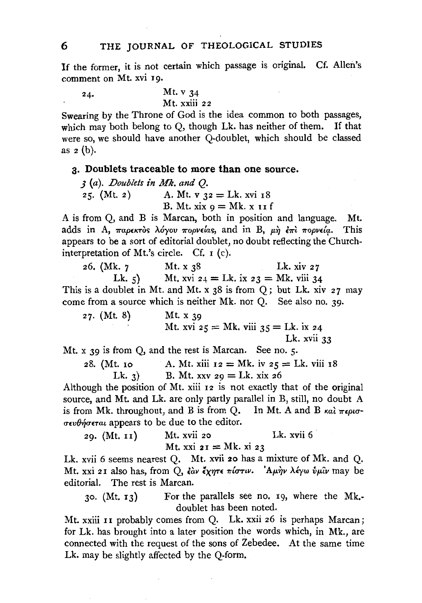If the former, it is not certain which passage is original. Cf. Allen's comment on Mt. xvi 19.

24. Mt. v 34 Mt. xxiii 22

Swearing by the Throne of God is the idea common to both passages, which may both belong to O, though Lk. has neither of them. If that were so, we should have another Q·doublet, which should be classed as  $2(b)$ .

#### g. Doublets traceable to more than one source.

J (a). *Doublets in Mk. and* Q. 25. (Mt. 2) A. Mt. v  $32 = Lk$ . xvi 18 B. Mt.  $xix q = Mk. x 11 f$ 

A is from Q, and B is Marean, both in position and language. Mt. adds in A, *TapekTos*  $\lambda$ *oyov Topvelas*, and in B,  $\mu \hat{\eta}$  *et Topvela.* This appears to be a sort of editorial doublet, no doubt reflecting the Churchinterpretation of Mt.'s circle. Cf. I (c).

26. (Mk. 7 Mt. x 38 Lk. xiv 27 Lk. 5) Mt. xvi  $24 =$  Lk. ix  $23 =$  Mk. viii 34 This is a doublet in Mt. and Mt. x  $38$  is from Q; but Lk. xiv  $27$  may come from a source which is neither Mk. nor Q. See also no. 39·

| $27.$ (Mt. 8) | Mt. $x_{39}$                               |
|---------------|--------------------------------------------|
|               | Mt. xvi $25 = Mk$ , viii $35 = Lk$ . ix 24 |
|               | Lk. $xvi$ $33$                             |

Mt.  $x$  39 is from O, and the rest is Marcan. See no. 5.

28. (Mt. 10 A. Mt. xiii  $12 = Mk$ , iv  $25 = Lk$ , viii 18 Lk. 3) B. Mt. xxv 29 = Lk. xix 26

Although the position of Mt. xiii I2 is not exactly that of the original source, and Mt. and Lk. are only partly parallel in B, still, no doubt A is from Mk. throughout, and B is from Q. In Mt. A and B  $\kappa a \overline{a} \pi \epsilon \rho u \sigma$ - $\sigma \epsilon \nu \theta \eta \sigma \epsilon \tau a \iota$  appears to be due to the editor.

29. (Mt. 11) Mt. xvii 20 Lk. xvii 6 Mt. xxi  $2I = Mk.$  xi 23

Lk. xvii 6 seems nearest Q. Mt. xvii 20 has a mixture of Mk. and Q. Mt. xxi 21 also has, from Q, έαν έχητε πίστιν. 'Αμην λέγω ύμιν may be editorial. The rest is Marean.

30. (Mt. I3) For the parallels see no. I9, where the Mk. doublet has been noted.

Mt. xxiii 11 probably comes from Q. Lk. xxii 26 is perhaps Marcan; for Lk. has brought into a later position the words which, in Mk., are connected with the request of the sons of Zebedee. At the same time Lk. may be slightly affected by the Q-form,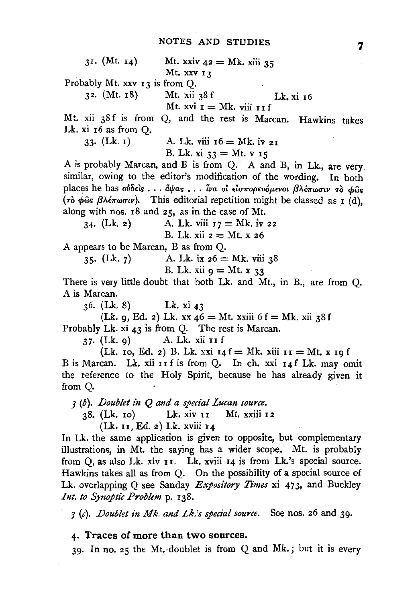31. (Mt. 14) Mt. xxiv  $42 = Mk$ , xiii 35 Mt. XXV 13

Probably Mt.  $xxv$   $13$  is from Q.<br>32. (Mt.  $18$ ) Mt.  $xii$ 

Mt.  $xii$  38 f Lk.  $xi$  16 Mt. xvi  $I = Mk$ . viii  $I$ I f

Mt. xii 38f is from Q, and the rest is Marcan. Hawkins takes Lk. xi r6 as from Q.

 $33.$  (Lk.  $1)$ ) A. Lk. viii  $16 = Mk$ , iv 21

B. Lk. xi  $33 = Mt$ .  $V$  15

A is probably Marean, and B is from Q. A and B, in Lk., are very similar, owing to the editor's modification of the wording. In both places he has *ούδειs... άψας... ίνα οι εισπορευόμενοι βλέπωσιν το φως* ( $\tau$  $\dot{\phi}$   $\phi$  $\ddot{\omega}$ s  $\beta \lambda \dot{\epsilon} \pi \omega \sigma \nu$ ). This editorial repetition might be classed as  $I$  (d), along with nos. I8 and 25, as in the case of Mt.

34.  $(Lk, 2)$  A. Lk. viii  $17 = Mk$ . iv 22 B. Lk. xii  $z = Mt$ . x  $z6$ 

A appears to be Marean, Bas from Q.

35. (Lk. 7) A. Lk. ix  $26 = Mk$ . viii 38

B. Lk. xii 
$$
q = Mt
$$
. x 33

There is very little doubt that both Lk. and Mt., in B., are from Q. A is Marean.

36. (Lk. 8) Lk. xi 43

(Lk. 9, Ed. 2) Lk. xx  $46 = Mt$ . xxiii  $6f = Mk$ . xii 38 f Probably Lk. xi 43 is from Q. The rest is Marcan.

37· (Lk. 9) A. Lk. xii II f

(Lk. ro, Ed. 2) B. Lk. xxi  $I_4 f = Mk$ . xiii  $II = Mt$ . x  $I_9 f$ B is Marean. Lk. xii I I f is from Q. In ch. xxi 14 f Lk. may omit the reference to the Holy Spirit, because he has already given it from Q.

*3* (b). *Doublet in Q and a special Lucan source.* 

38. (Lk. ro) Lk. xiv II Mt. xxiii 12

(Lk. u, Ed. 2) Lk. xviii 14

In Lk. the same application is given to opposite, but complementary illustrations, in Mt. the saying has a wider scope. Mt. is probably from Q, as also Lk. xiv II. Lk. xviii 14 is from Lk.'s special source. Hawkins takes all as from Q. On the possibility of a special source of Lk. overlapping Q see Sanday *Expository Times* xi 473, and Buckley *Int. to Synoptic Problem* p. I38.

J (c). *Doublet in Mk. and Lk.'s special source.* See nos. 26 and 39·

#### 4· Traces of more than two sources.

39· In no. 25 the Mt.-doublet is from Q and Mk.; but it is every